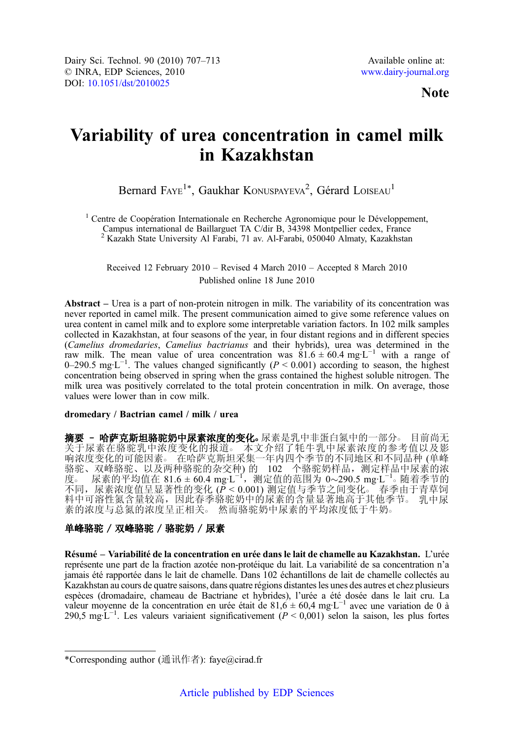**Note** 

# Variability of urea concentration in camel milk in Kazakhstan

Bernard FAYE<sup>1\*</sup>, Gaukhar KONUSPAYEVA<sup>2</sup>, Gérard LOISEAU<sup>1</sup>

<sup>1</sup> Centre de Coopération Internationale en Recherche Agronomique pour le Développement, Campus international de Baillarguet TA C/dir B, 34398 Montpellier cedex, France <sup>2</sup> Kazakh State University Al Farabi, 71 av. Al-Farabi, 050040 Almaty, Kazakhstan

Received 12 February 2010 – Revised 4 March 2010 – Accepted 8 March 2010 Published online 18 June 2010

Abstract – Urea is a part of non-protein nitrogen in milk. The variability of its concentration was never reported in camel milk. The present communication aimed to give some reference values on urea content in camel milk and to explore some interpretable variation factors. In 102 milk samples collected in Kazakhstan, at four seasons of the year, in four distant regions and in different species (Camelius dromedaries, Camelius bactrianus and their hybrids), urea was determined in the raw milk. The mean value of urea concentration was  $81.6 \pm 60.4$  mg·L<sup>-1</sup> with a range of 0–290.5 mg⋅L<sup>-1</sup>. The values changed significantly ( $P < 0.001$ ) according to season, the highest concentration being observed in spring when the grass contained the highest soluble nitrogen. The milk urea was positively correlated to the total protein concentration in milk. On average, those values were lower than in cow milk.

# dromedary / Bactrian camel / milk / urea

摘要 - 哈萨克斯坦骆驼奶中尿素浓度的变化。尿素是乳中非蛋白氮中的一部分。目前尚无 关于尿素在骆驼乳中浓度变化的报道。 本文介绍了牦牛乳中尿素浓度的参考值以及影 响浓度变化的可能因素○ 在哈萨克斯坦采集一年内四个季节的不同地区和不同品种 (单峰 骆驼、双峰骆驼、以及两种骆驼的杂交种) 的 102 个骆驼奶样品,测定样品中尿素的浓 度。 尿素的平均值在 81.6 ± 60.4 mg·L<sup>−1</sup>, 测定值的范围为 0~290.5 mg·L<sup>−1</sup>。随着季节的 不同, 尿素浓度值呈显著性的变化 (P < 0.001) 测定值与季节之间变化。 春季由于青草饲 料中可溶性氮含量较高,因此春季骆驼奶中的尿素的含量显著地高于其他季节。 乳中尿 素的浓度与总氮的浓度呈正相关。 然而骆驼奶中尿素的平均浓度低于牛奶。

# 单峰骆驼 / 双峰骆驼 / 骆驼奶 / 尿素

Résumé – Variabilité de la concentration en urée dans le lait de chamelle au Kazakhstan. L'urée représente une part de la fraction azotée non-protéique du lait. La variabilité de sa concentration n'a jamais été rapportée dans le lait de chamelle. Dans 102 échantillons de lait de chamelle collectés au Kazakhstan au cours de quatre saisons, dans quatre régions distantes les unes des autres et chez plusieurs espèces (dromadaire, chameau de Bactriane et hybrides), l'urée a été dosée dans le lait cru. La<br>valeur moyenne de la concentration en urée était de 81,6 ± 60,4 mg·L<sup>−1</sup> avec une variation de 0 à 290,5 mg·L−<sup>1</sup> . Les valeurs variaient significativement (P < 0,001) selon la saison, les plus fortes

<sup>\*</sup>Corresponding author (通讯作者): faye@cirad.fr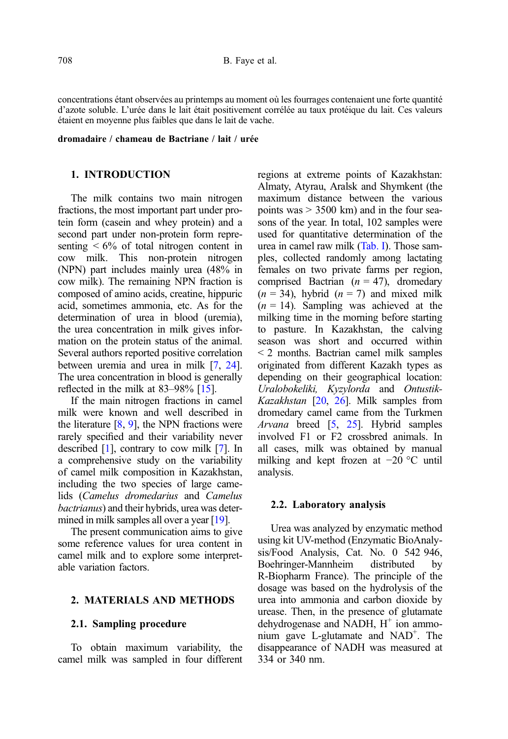concentrations étant observées au printemps au moment où les fourrages contenaient une forte quantité d'azote soluble. L'urée dans le lait était positivement corrélée au taux protéique du lait. Ces valeurs étaient en moyenne plus faibles que dans le lait de vache.

#### dromadaire / chameau de Bactriane / lait / urée

# 1. INTRODUCTION

The milk contains two main nitrogen fractions, the most important part under protein form (casein and whey protein) and a second part under non-protein form representing  $\leq 6\%$  of total nitrogen content in cow milk. This non-protein nitrogen (NPN) part includes mainly urea (48% in cow milk). The remaining NPN fraction is composed of amino acids, creatine, hippuric acid, sometimes ammonia, etc. As for the determination of urea in blood (uremia), the urea concentration in milk gives information on the protein status of the animal. Several authors reported positive correlation between uremia and urea in milk [\[7](#page-5-0), [24\]](#page-6-0). The urea concentration in blood is generally reflected in the milk at 83–98% [[15](#page-5-0)].

If the main nitrogen fractions in camel milk were known and well described in the literature  $[8, 9]$  $[8, 9]$  $[8, 9]$  $[8, 9]$ , the NPN fractions were rarely specified and their variability never described [[1](#page-5-0)], contrary to cow milk [\[7](#page-5-0)]. In a comprehensive study on the variability of camel milk composition in Kazakhstan, including the two species of large camelids (Camelus dromedarius and Camelus bactrianus) and their hybrids, urea was deter-mined in milk samples all over a year [\[19\]](#page-6-0).

The present communication aims to give some reference values for urea content in camel milk and to explore some interpretable variation factors.

#### 2. MATERIALS AND METHODS

# 2.1. Sampling procedure

To obtain maximum variability, the camel milk was sampled in four different regions at extreme points of Kazakhstan: Almaty, Atyrau, Aralsk and Shymkent (the maximum distance between the various points was  $> 3500$  km) and in the four seasons of the year. In total, 102 samples were used for quantitative determination of the urea in camel raw milk [\(Tab. I\)](#page-2-0). Those samples, collected randomly among lactating females on two private farms per region, comprised Bactrian  $(n = 47)$ , dromedary  $(n = 34)$ , hybrid  $(n = 7)$  and mixed milk  $(n = 14)$ . Sampling was achieved at the milking time in the morning before starting to pasture. In Kazakhstan, the calving season was short and occurred within < 2 months. Bactrian camel milk samples originated from different Kazakh types as depending on their geographical location: Uralobokeliki, Kyzylorda and Ontustik-Kazakhstan [\[20,](#page-6-0) [26\]](#page-6-0). Milk samples from dromedary camel came from the Turkmen Arvana breed [\[5,](#page-5-0) [25](#page-6-0)]. Hybrid samples involved F1 or F2 crossbred animals. In all cases, milk was obtained by manual milking and kept frozen at −20 °C until analysis.

#### 2.2. Laboratory analysis

Urea was analyzed by enzymatic method using kit UV-method (Enzymatic BioAnalysis/Food Analysis, Cat. No. 0 542 946,<br>Boehringer-Mannheim distributed by Boehringer-Mannheim distributed by R-Biopharm France). The principle of the dosage was based on the hydrolysis of the urea into ammonia and carbon dioxide by urease. Then, in the presence of glutamate dehydrogenase and NADH,  $H^+$  ion ammonium gave L-glutamate and NAD<sup>+</sup>. The disappearance of NADH was measured at 334 or 340 nm.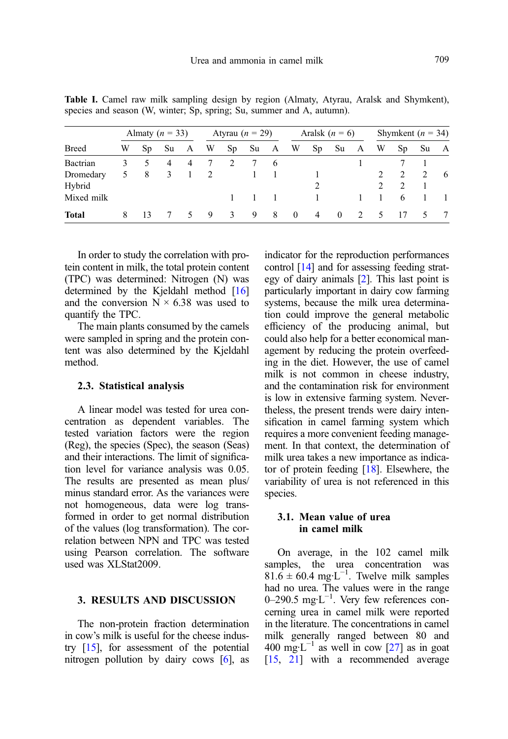|              | Almaty $(n = 33)$ |     |    |        | Atyrau $(n = 29)$ |    |   |        | Aralsk $(n = 6)$ |                |          |               | Shymkent ( $n = 34$ ) |                |    |                |
|--------------|-------------------|-----|----|--------|-------------------|----|---|--------|------------------|----------------|----------|---------------|-----------------------|----------------|----|----------------|
| <b>Breed</b> | W                 | Sp. | Su | A      | W                 | Sp |   | Su A W |                  | Sp             | Su       | A             | W                     | S <sub>p</sub> | Su | A              |
| Bactrian     | 3                 |     | 4  | 4      |                   | 2  |   |        |                  |                |          |               |                       |                |    |                |
| Dromedary    | $\mathcal{D}$     | 8   | 3  |        |                   |    |   |        |                  |                |          |               |                       |                |    | -6             |
| Hybrid       |                   |     |    |        |                   |    |   |        |                  |                |          |               |                       |                |    |                |
| Mixed milk   |                   |     |    |        |                   |    |   |        |                  |                |          |               |                       | 6              |    |                |
| <b>Total</b> | 8                 | 13  |    | $\sim$ | - 9               | -3 | 9 | -8     | $\theta$         | $\overline{4}$ | $\theta$ | $\mathcal{L}$ | -5                    | -17            | 5  | $\overline{7}$ |

<span id="page-2-0"></span>Table I. Camel raw milk sampling design by region (Almaty, Atyrau, Aralsk and Shymkent), species and season (W, winter; Sp, spring; Su, summer and A, autumn).

In order to study the correlation with protein content in milk, the total protein content (TPC) was determined: Nitrogen (N) was determined by the Kjeldahl method [[16](#page-6-0)] and the conversion  $N \times 6.38$  was used to quantify the TPC.

The main plants consumed by the camels were sampled in spring and the protein content was also determined by the Kjeldahl method.

#### 2.3. Statistical analysis

A linear model was tested for urea concentration as dependent variables. The tested variation factors were the region (Reg), the species (Spec), the season (Seas) and their interactions. The limit of signification level for variance analysis was 0.05. The results are presented as mean plus/ minus standard error. As the variances were not homogeneous, data were log transformed in order to get normal distribution of the values (log transformation). The correlation between NPN and TPC was tested using Pearson correlation. The software used was XLStat2009.

#### 3. RESULTS AND DISCUSSION

The non-protein fraction determination in cow's milk is useful for the cheese industry [\[15\]](#page-5-0), for assessment of the potential nitrogen pollution by dairy cows [[6\]](#page-5-0), as

indicator for the reproduction performances control [\[14\]](#page-5-0) and for assessing feeding strategy of dairy animals [[2\]](#page-5-0). This last point is particularly important in dairy cow farming systems, because the milk urea determination could improve the general metabolic efficiency of the producing animal, but could also help for a better economical management by reducing the protein overfeeding in the diet. However, the use of camel milk is not common in cheese industry, and the contamination risk for environment is low in extensive farming system. Nevertheless, the present trends were dairy intensification in camel farming system which requires a more convenient feeding management. In that context, the determination of milk urea takes a new importance as indicator of protein feeding [[18\]](#page-6-0). Elsewhere, the variability of urea is not referenced in this species.

# 3.1. Mean value of urea in camel milk

On average, in the 102 camel milk samples, the urea concentration was  $81.6 \pm 60.4$  mg·L<sup>-1</sup>. Twelve milk samples had no urea. The values were in the range 0–290.5 mg·L−<sup>1</sup> . Very few references concerning urea in camel milk were reported in the literature. The concentrations in camel milk generally ranged between 80 and 400 mg·L<sup>-1</sup> as well in cow [[27](#page-6-0)] as in goat [[15,](#page-5-0) [21\]](#page-6-0) with a recommended average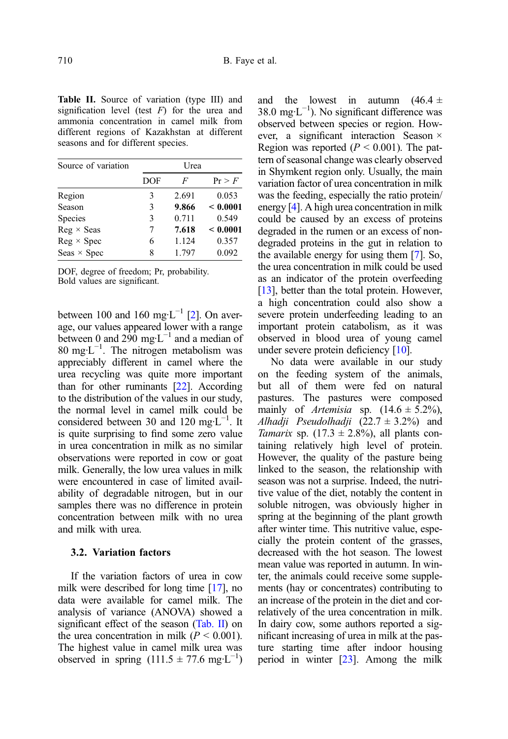Table II. Source of variation (type III) and signification level (test  $F$ ) for the urea and ammonia concentration in camel milk from different regions of Kazakhstan at different seasons and for different species.

| Source of variation | Urea |       |              |  |  |  |  |
|---------------------|------|-------|--------------|--|--|--|--|
|                     | DOF  | F     | Pr > F       |  |  |  |  |
| Region              | 3    | 2.691 | 0.053        |  |  |  |  |
| Season              | 3    | 9.866 | ${}< 0.0001$ |  |  |  |  |
| Species             | 3    | 0.711 | 0.549        |  |  |  |  |
| $Reg \times Seas$   | 7    | 7.618 | ${}< 0.0001$ |  |  |  |  |
| $Reg \times Spec$   | 6    | 1.124 | 0.357        |  |  |  |  |
| Seas $\times$ Spec  | 8    | 1.797 | 0.092        |  |  |  |  |

DOF, degree of freedom; Pr, probability. Bold values are significant.

between 100 and 160 mg⋅ $L^{-1}$  [\[2](#page-5-0)]. On average, our values appeared lower with a range between 0 and 290 mg⋅ $L^{-1}$  and a median of 80 mg·L−<sup>1</sup> . The nitrogen metabolism was appreciably different in camel where the urea recycling was quite more important than for other ruminants [\[22](#page-6-0)]. According to the distribution of the values in our study, the normal level in camel milk could be considered between 30 and 120 mg⋅ $L^{-1}$ . It is quite surprising to find some zero value in urea concentration in milk as no similar observations were reported in cow or goat milk. Generally, the low urea values in milk were encountered in case of limited availability of degradable nitrogen, but in our samples there was no difference in protein concentration between milk with no urea and milk with urea.

# 3.2. Variation factors

If the variation factors of urea in cow milk were described for long time [\[17\]](#page-6-0), no data were available for camel milk. The analysis of variance (ANOVA) showed a significant effect of the season (Tab. II) on the urea concentration in milk ( $P < 0.001$ ). The highest value in camel milk urea was observed in spring  $(111.5 \pm 77.6 \text{ mg} \cdot \text{L}^{-1})$ 

and the lowest in autumn  $(46.4 \pm$ 38.0 mg⋅ $L^{-1}$ ). No significant difference was observed between species or region. However, a significant interaction Season × Region was reported ( $P < 0.001$ ). The pattern of seasonal change was clearly observed in Shymkent region only. Usually, the main variation factor of urea concentration in milk was the feeding, especially the ratio protein/ energy [\[4](#page-5-0)]. A high urea concentration in milk could be caused by an excess of proteins degraded in the rumen or an excess of nondegraded proteins in the gut in relation to the available energy for using them [[7](#page-5-0)]. So, the urea concentration in milk could be used as an indicator of the protein overfeeding [[13](#page-5-0)], better than the total protein. However, a high concentration could also show a severe protein underfeeding leading to an important protein catabolism, as it was observed in blood urea of young camel under severe protein deficiency [[10](#page-5-0)].

No data were available in our study on the feeding system of the animals, but all of them were fed on natural pastures. The pastures were composed mainly of *Artemisia* sp.  $(14.6 \pm 5.2\%)$ , Alhadji Pseudolhadji  $(22.7 \pm 3.2\%)$  and *Tamarix* sp. (17.3  $\pm$  2.8%), all plants containing relatively high level of protein. However, the quality of the pasture being linked to the season, the relationship with season was not a surprise. Indeed, the nutritive value of the diet, notably the content in soluble nitrogen, was obviously higher in spring at the beginning of the plant growth after winter time. This nutritive value, especially the protein content of the grasses, decreased with the hot season. The lowest mean value was reported in autumn. In winter, the animals could receive some supplements (hay or concentrates) contributing to an increase of the protein in the diet and correlatively of the urea concentration in milk. In dairy cow, some authors reported a significant increasing of urea in milk at the pasture starting time after indoor housing period in winter [\[23](#page-6-0)]. Among the milk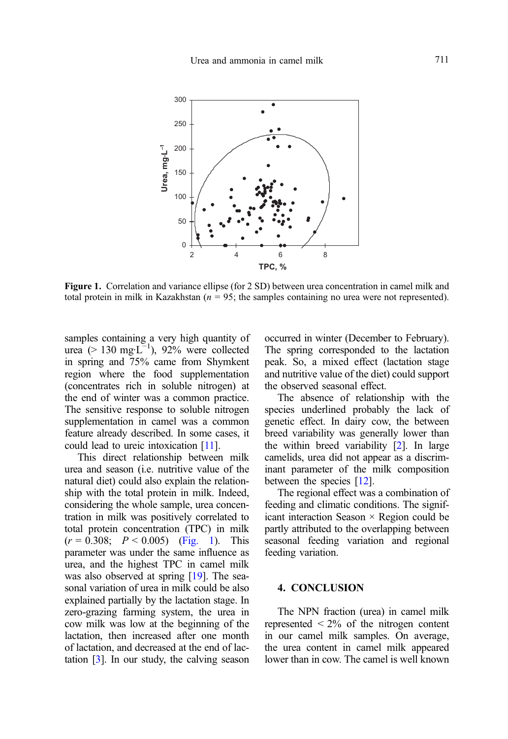

Figure 1. Correlation and variance ellipse (for 2 SD) between urea concentration in camel milk and total protein in milk in Kazakhstan ( $n = 95$ ; the samples containing no urea were not represented).

samples containing a very high quantity of urea (> 130 mg·L−<sup>1</sup> ), 92% were collected in spring and 75% came from Shymkent region where the food supplementation (concentrates rich in soluble nitrogen) at the end of winter was a common practice. The sensitive response to soluble nitrogen supplementation in camel was a common feature already described. In some cases, it could lead to ureic intoxication [\[11\]](#page-5-0).

This direct relationship between milk urea and season (i.e. nutritive value of the natural diet) could also explain the relationship with the total protein in milk. Indeed, considering the whole sample, urea concentration in milk was positively correlated to total protein concentration (TPC) in milk  $(r = 0.308; P < 0.005)$  (Fig. 1). This parameter was under the same influence as urea, and the highest TPC in camel milk was also observed at spring [[19](#page-6-0)]. The seasonal variation of urea in milk could be also explained partially by the lactation stage. In zero-grazing farming system, the urea in cow milk was low at the beginning of the lactation, then increased after one month of lactation, and decreased at the end of lactation [\[3\]](#page-5-0). In our study, the calving season occurred in winter (December to February). The spring corresponded to the lactation peak. So, a mixed effect (lactation stage and nutritive value of the diet) could support the observed seasonal effect.

The absence of relationship with the species underlined probably the lack of genetic effect. In dairy cow, the between breed variability was generally lower than the within breed variability [\[2](#page-5-0)]. In large camelids, urea did not appear as a discriminant parameter of the milk composition between the species [\[12\]](#page-5-0).

The regional effect was a combination of feeding and climatic conditions. The significant interaction Season  $\times$  Region could be partly attributed to the overlapping between seasonal feeding variation and regional feeding variation.

#### 4. CONCLUSION

The NPN fraction (urea) in camel milk represented  $\lt 2\%$  of the nitrogen content in our camel milk samples. On average, the urea content in camel milk appeared lower than in cow. The camel is well known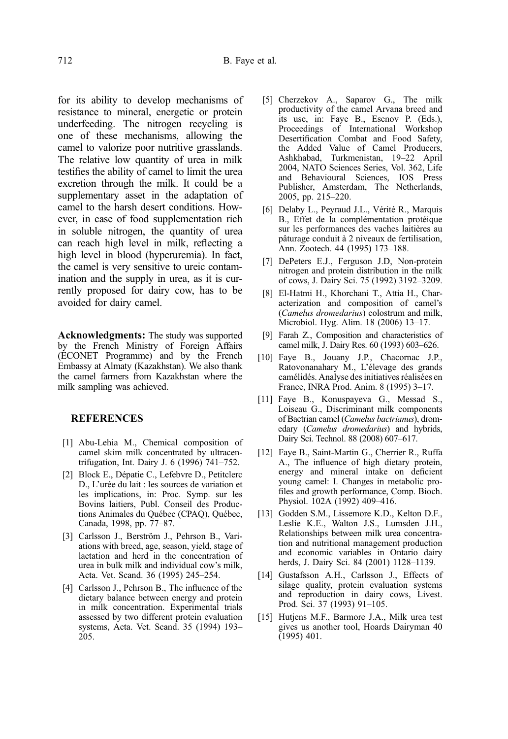<span id="page-5-0"></span>for its ability to develop mechanisms of resistance to mineral, energetic or protein underfeeding. The nitrogen recycling is one of these mechanisms, allowing the camel to valorize poor nutritive grasslands. The relative low quantity of urea in milk testifies the ability of camel to limit the urea excretion through the milk. It could be a supplementary asset in the adaptation of camel to the harsh desert conditions. However, in case of food supplementation rich in soluble nitrogen, the quantity of urea can reach high level in milk, reflecting a high level in blood (hyperuremia). In fact, the camel is very sensitive to ureic contamination and the supply in urea, as it is currently proposed for dairy cow, has to be avoided for dairy camel.

Acknowledgments: The study was supported by the French Ministry of Foreign Affairs (ECONET Programme) and by the French Embassy at Almaty (Kazakhstan). We also thank the camel farmers from Kazakhstan where the milk sampling was achieved.

## **REFERENCES**

- [1] Abu-Lehia M., Chemical composition of camel skim milk concentrated by ultracentrifugation, Int. Dairy J. 6 (1996) 741–752.
- [2] Block E., Dépatie C., Lefebvre D., Petitclerc D., L'urée du lait : les sources de variation et les implications, in: Proc. Symp. sur les Bovins laitiers, Publ. Conseil des Productions Animales du Québec (CPAQ), Québec, Canada, 1998, pp. 77–87.
- [3] Carlsson J., Berström J., Pehrson B., Variations with breed, age, season, yield, stage of lactation and herd in the concentration of urea in bulk milk and individual cow's milk, Acta. Vet. Scand. 36 (1995) 245–254.
- [4] Carlsson J., Pehrson B., The influence of the dietary balance between energy and protein in milk concentration. Experimental trials assessed by two different protein evaluation systems, Acta. Vet. Scand. 35 (1994) 193– 205.
- [5] Cherzekov A., Saparov G., The milk productivity of the camel Arvana breed and its use, in: Faye B., Esenov P. (Eds.), Proceedings of International Workshop Desertification Combat and Food Safety, the Added Value of Camel Producers, Ashkhabad, Turkmenistan, 19–22 April 2004, NATO Sciences Series, Vol. 362, Life and Behavioural Sciences, IOS Press Publisher, Amsterdam, The Netherlands, 2005, pp. 215–220.
- [6] Delaby L., Peyraud J.L., Vérité R., Marquis B., Effet de la complémentation protéique sur les performances des vaches laitières au pâturage conduit à 2 niveaux de fertilisation, Ann. Zootech. 44 (1995) 173–188.
- [7] DePeters E.J., Ferguson J.D, Non-protein nitrogen and protein distribution in the milk of cows, J. Dairy Sci. 75 (1992) 3192–3209.
- [8] El-Hatmi H., Khorchani T., Attia H., Characterization and composition of camel's  $(Camelus\ dromedarius)$  colostrum and milk. Microbiol. Hyg. Alim. 18 (2006) 13–17.
- [9] Farah Z., Composition and characteristics of camel milk, J. Dairy Res. 60 (1993) 603–626.
- [10] Faye B., Jouany J.P., Chacornac J.P., Ratovonanahary M., L'élevage des grands camélidés. Analyse des initiatives réalisées en France, INRA Prod. Anim. 8 (1995) 3–17.
- [11] Faye B., Konuspayeva G., Messad S., Loiseau G., Discriminant milk components of Bactrian camel (Camelus bactrianus), dromedary (Camelus dromedarius) and hybrids, Dairy Sci. Technol. 88 (2008) 607–617.
- [12] Faye B., Saint-Martin G., Cherrier R., Ruffa A., The influence of high dietary protein, energy and mineral intake on deficient young camel: I. Changes in metabolic profiles and growth performance, Comp. Bioch. Physiol. 102A (1992) 409–416.
- [13] Godden S.M., Lissemore K.D., Kelton D.F., Leslie K.E., Walton J.S., Lumsden J.H., Relationships between milk urea concentration and nutritional management production and economic variables in Ontario dairy herds, J. Dairy Sci. 84 (2001) 1128–1139.
- [14] Gustafsson A.H., Carlsson J., Effects of silage quality, protein evaluation systems and reproduction in dairy cows, Livest. Prod. Sci. 37 (1993) 91–105.
- [15] Hutjens M.F., Barmore J.A., Milk urea test gives us another tool, Hoards Dairyman 40 (1995) 401.